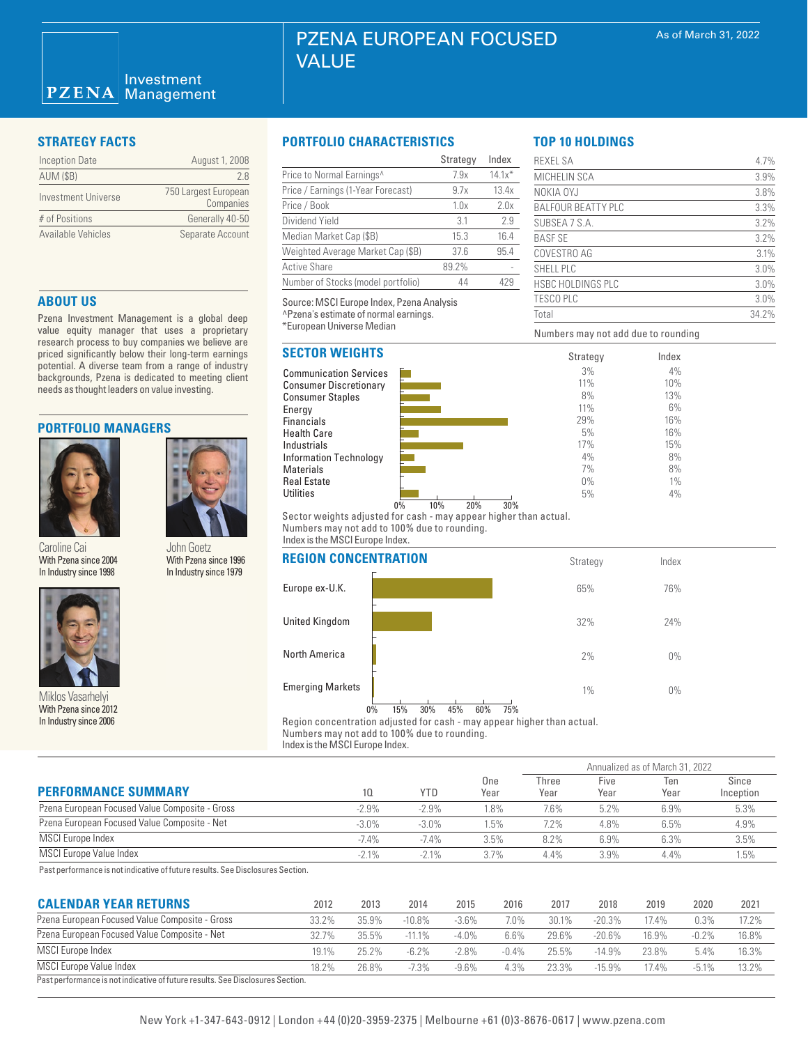| <b>Inception Date</b> | August 1, 2008                    |
|-----------------------|-----------------------------------|
| <b>AUM (\$B)</b>      | 78                                |
| Investment Universe   | 750 Largest European<br>Companies |
| # of Positions        | Generally 40-50                   |
| Available Vehicles    | Separate Account                  |

#### **ABOUT US**

Pzena Investment Management is a global deep value equity manager that uses a proprietary research process to buy companies we believe are priced significantly below their long-term earnings potential. A diverse team from a range of industry backgrounds, Pzena is dedicated to meeting client needs as thought leaders on value investing.

#### **PORTFOLIO MANAGERS**



Caroline Cai With Pzena since 2004 In Industry since 1998

John Goetz With Pzena since 1996 In Industry since 1979



Miklos Vasarhelyi With Pzena since 2012 In Industry since 2006

#### **STRATEGY FACTS PORTFOLIO CHARACTERISTICS**

|                                    | Strategy | Index    |
|------------------------------------|----------|----------|
| Price to Normal Earnings^          | 7.9x     | $14.1x*$ |
| Price / Earnings (1-Year Forecast) | 9.7x     | 13.4x    |
| Price / Book                       | 1.0x     | 2.0x     |
| Dividend Yield                     | 3.1      | 2.9      |
| Median Market Cap (\$B)            | 15.3     | 16.4     |
| Weighted Average Market Cap (\$B)  | 37.6     | 95.4     |
| <b>Active Share</b>                | 89.2%    |          |
| Number of Stocks (model portfolio) | 44       | 429      |

Source: MSCI Europe Index, Pzena Analysis ^Pzena's estimate of normal earnings. \*European Universe Median

### **SECTOR WEIGHTS**





Sector weights adjusted for cash - may appear higher than actual. Numbers may not add to 100% due to rounding. Index is the MSCI Europe Index.

| <b>REGION CONCENTRATION</b> |    |     |     |     |     |     | Strategy | Index |  |
|-----------------------------|----|-----|-----|-----|-----|-----|----------|-------|--|
| Europe ex-U.K.              |    |     |     |     |     |     | 65%      | 76%   |  |
| United Kingdom              |    |     |     |     |     |     | 32%      | 24%   |  |
| North America               |    |     |     |     |     |     | 2%       | $0\%$ |  |
| <b>Emerging Markets</b>     |    |     |     |     |     |     | 1%       | $0\%$ |  |
|                             | 0% | 15% | 30% | 45% | 60% | 75% |          |       |  |

Region concentration adjusted for cash - may appear higher than actual. Numbers may not add to 100% due to rounding.

Index is the MSCI Europe Index.

|                                                |          |          |             | Annualized as of March 31, 2022 |              |             |                    |  |  |
|------------------------------------------------|----------|----------|-------------|---------------------------------|--------------|-------------|--------------------|--|--|
| <b>PERFORMANCE SUMMARY</b>                     | 10       | YTD      | One<br>Year | Three<br>Year                   | Five<br>Year | Ten<br>Year | Since<br>Inception |  |  |
| Pzena European Focused Value Composite - Gross | $-2.9%$  | $-2.9%$  | $.8\%$      | 7.6%                            | 5.2%         | 6.9%        | 5.3%               |  |  |
| Pzena European Focused Value Composite - Net   | $-3.0\%$ | $-3.0\%$ | .5%         | 7.2%                            | 4.8%         | 6.5%        | 4.9%               |  |  |
| <b>MSCI</b> Europe Index                       | $-7.4%$  | $-7.4%$  | 3.5%        | 8.2%                            | 6.9%         | 6.3%        | 3.5%               |  |  |
| <b>MSCI Europe Value Index</b>                 | $-2.1%$  | $-2.1%$  | 3.7%        | 4.4%                            | $3.9\%$      | 4.4%        | 1.5%               |  |  |

Past performance is not indicative of future results. See Disclosures Section.

| <b>CALENDAR YEAR RETURNS</b>                                                   | 2012  | 2013     | 2014      | 2015     | 2016    | 2017  | 2018     | 2019  | 2020     | 2021  |
|--------------------------------------------------------------------------------|-------|----------|-----------|----------|---------|-------|----------|-------|----------|-------|
| Pzena European Focused Value Composite - Gross                                 | 33.2% | 35.9%    | $-10.8\%$ | $-3.6\%$ | 7.0%    | 30.1% | $-20.3%$ | 17.4% | 0.3%     | 17.2% |
| Pzena European Focused Value Composite - Net                                   | 32.7% | $35.5\%$ | $-11.1\%$ | $-4.0\%$ | 6.6%    | 29.6% | $-20.6%$ | 16.9% | $-0.2\%$ | 16.8% |
| <b>MSCI</b> Europe Index                                                       | 19.1% | 25.2%    | $-6.2%$   | $-2.8%$  | $-0.4%$ | 25.5% | $-14.9%$ | 23.8% | 5.4%     | 16.3% |
| <b>MSCI Europe Value Index</b>                                                 | 18.2% | 26.8%    | $-7.3%$   | $-9.6\%$ | 4.3%    | 23.3% | $-15.9%$ | 17.4% | $-5.1\%$ | 13.2% |
| Past performance is not indicative of future results. See Disclosures Section. |       |          |           |          |         |       |          |       |          |       |

# **TOP 10 HOLDINGS**

| <b>REXEL SA</b>           | 4.7%  |
|---------------------------|-------|
| MICHELIN SCA              | 3.9%  |
| NOKIA OYJ                 | 3.8%  |
| <b>BALFOUR BEATTY PLC</b> | 3.3%  |
| SUBSEA 7 S.A.             | 3.2%  |
| <b>BASF SE</b>            | 3.2%  |
| COVESTRO AG               | 3.1%  |
| SHELL PLC                 | 3.0%  |
| <b>HSBC HOLDINGS PLC</b>  | 3.0%  |
| <b>TESCO PLC</b>          | 3.0%  |
| Total                     | 34.2% |

Numbers may not add due to rounding